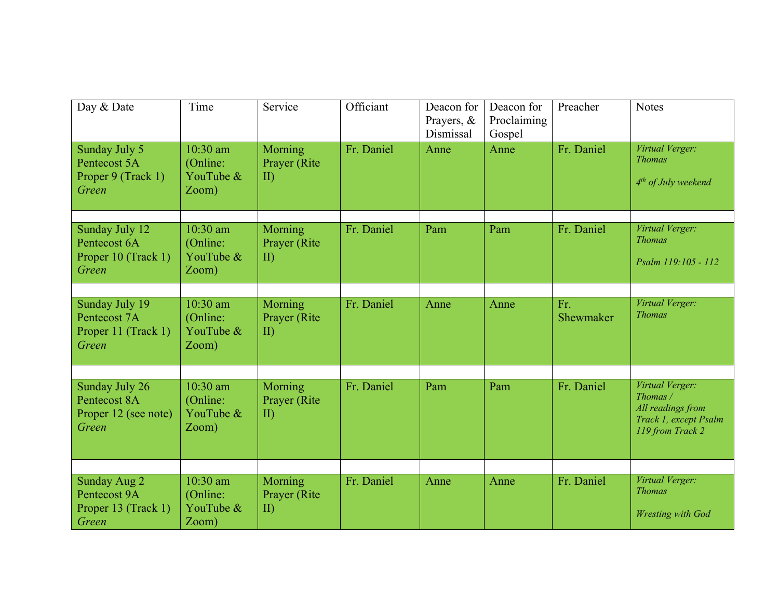| Day & Date                                                      | Time                                         | Service                                  | Officiant  | Deacon for<br>Prayers, &<br>Dismissal | Deacon for<br>Proclaiming<br>Gospel | Preacher         | <b>Notes</b>                                                                                  |
|-----------------------------------------------------------------|----------------------------------------------|------------------------------------------|------------|---------------------------------------|-------------------------------------|------------------|-----------------------------------------------------------------------------------------------|
| Sunday July 5<br>Pentecost 5A<br>Proper 9 (Track 1)<br>Green    | 10:30 am<br>(Online:<br>YouTube &<br>Zoom)   | Morning<br>Prayer (Rite<br>$\mathbf{I}$  | Fr. Daniel | Anne                                  | Anne                                | Fr. Daniel       | Virtual Verger:<br><b>Thomas</b><br>$4th$ of July weekend                                     |
| Sunday July 12<br>Pentecost 6A<br>Proper 10 (Track 1)<br>Green  | $10:30$ am<br>(Online:<br>YouTube &<br>Zoom) | Morning<br>Prayer (Rite)<br>$\mathbf{I}$ | Fr. Daniel | Pam                                   | Pam                                 | Fr. Daniel       | Virtual Verger:<br><b>Thomas</b><br>Psalm 119:105 - 112                                       |
| Sunday July 19<br>Pentecost 7A<br>Proper 11 (Track 1)<br>Green  | $10:30$ am<br>(Online:<br>YouTube &<br>Zoom) | Morning<br>Prayer (Rite)<br>$\mathbf{I}$ | Fr. Daniel | Anne                                  | Anne                                | Fr.<br>Shewmaker | Virtual Verger:<br><b>Thomas</b>                                                              |
| Sunday July 26<br>Pentecost 8A<br>Proper 12 (see note)<br>Green | 10:30 am<br>(Online:<br>YouTube &<br>Zoom)   | Morning<br>Prayer (Rite)<br>$\mathbf{I}$ | Fr. Daniel | Pam                                   | Pam                                 | Fr. Daniel       | Virtual Verger:<br>Thomas /<br>All readings from<br>Track 1, except Psalm<br>119 from Track 2 |
| Sunday Aug 2<br>Pentecost 9A<br>Proper 13 (Track 1)<br>Green    | 10:30 am<br>(Online:<br>YouTube &<br>Zoom)   | Morning<br>Prayer (Rite<br>$\mathbf{I}$  | Fr. Daniel | Anne                                  | Anne                                | Fr. Daniel       | Virtual Verger:<br><b>Thomas</b><br><b>Wresting with God</b>                                  |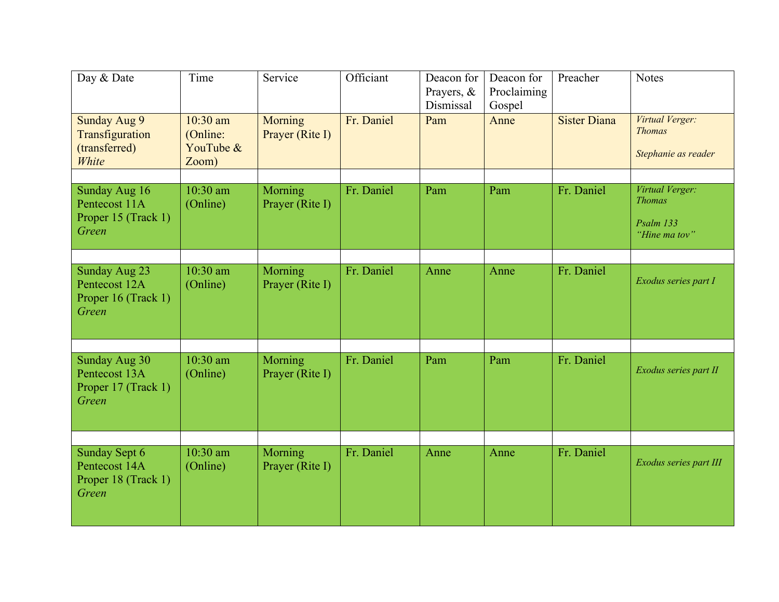| Day & Date                                                     | Time                                         | Service                    | Officiant  | Deacon for<br>Prayers, &<br>Dismissal | Deacon for<br>Proclaiming<br>Gospel | Preacher            | <b>Notes</b>                                                   |
|----------------------------------------------------------------|----------------------------------------------|----------------------------|------------|---------------------------------------|-------------------------------------|---------------------|----------------------------------------------------------------|
| Sunday Aug 9<br>Transfiguration<br>(transferred)<br>White      | $10:30$ am<br>(Online:<br>YouTube &<br>Zoom) | Morning<br>Prayer (Rite I) | Fr. Daniel | Pam                                   | Anne                                | <b>Sister Diana</b> | Virtual Verger:<br><b>Thomas</b><br>Stephanie as reader        |
| Sunday Aug 16<br>Pentecost 11A<br>Proper 15 (Track 1)<br>Green | $10:30$ am<br>(Online)                       | Morning<br>Prayer (Rite I) | Fr. Daniel | Pam                                   | Pam                                 | Fr. Daniel          | Virtual Verger:<br><b>Thomas</b><br>Psalm 133<br>"Hine ma tov" |
| Sunday Aug 23<br>Pentecost 12A<br>Proper 16 (Track 1)<br>Green | $10:30$ am<br>(Online)                       | Morning<br>Prayer (Rite I) | Fr. Daniel | Anne                                  | Anne                                | Fr. Daniel          | Exodus series part I                                           |
| Sunday Aug 30<br>Pentecost 13A<br>Proper 17 (Track 1)<br>Green | $10:30$ am<br>(Online)                       | Morning<br>Prayer (Rite I) | Fr. Daniel | Pam                                   | Pam                                 | Fr. Daniel          | Exodus series part II                                          |
| Sunday Sept 6<br>Pentecost 14A<br>Proper 18 (Track 1)<br>Green | $10:30$ am<br>(Online)                       | Morning<br>Prayer (Rite I) | Fr. Daniel | Anne                                  | Anne                                | Fr. Daniel          | Exodus series part III                                         |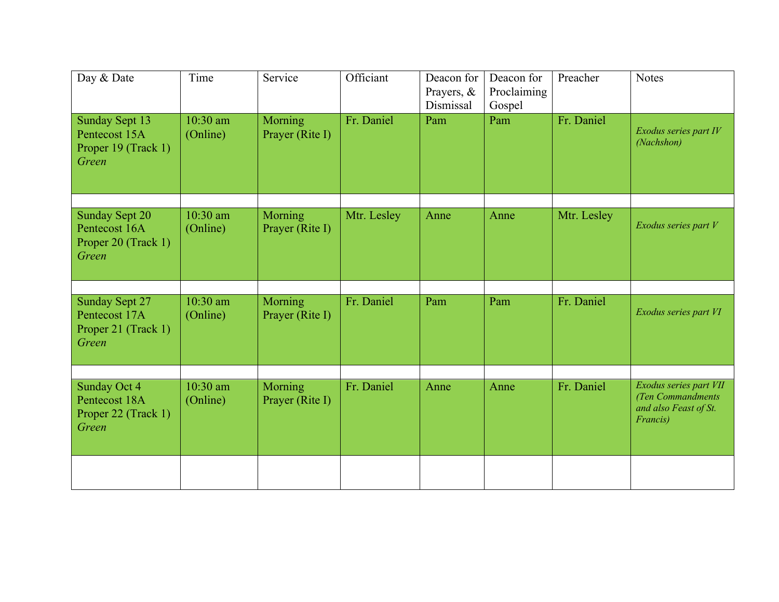| Day & Date                                                             | Time                   | Service                    | Officiant   | Deacon for<br>Prayers, &<br>Dismissal | Deacon for<br>Proclaiming<br>Gospel | Preacher    | <b>Notes</b>                                                                      |
|------------------------------------------------------------------------|------------------------|----------------------------|-------------|---------------------------------------|-------------------------------------|-------------|-----------------------------------------------------------------------------------|
| Sunday Sept 13<br>Pentecost 15A<br>Proper 19 (Track 1)<br>Green        | $10:30$ am<br>(Online) | Morning<br>Prayer (Rite I) | Fr. Daniel  | Pam                                   | Pam                                 | Fr. Daniel  | Exodus series part IV<br>(Nachshon)                                               |
| <b>Sunday Sept 20</b><br>Pentecost 16A<br>Proper 20 (Track 1)<br>Green | $10:30$ am<br>(Online) | Morning<br>Prayer (Rite I) | Mtr. Lesley | Anne                                  | Anne                                | Mtr. Lesley | Exodus series part V                                                              |
| <b>Sunday Sept 27</b><br>Pentecost 17A<br>Proper 21 (Track 1)<br>Green | $10:30$ am<br>(Online) | Morning<br>Prayer (Rite I) | Fr. Daniel  | Pam                                   | Pam                                 | Fr. Daniel  | Exodus series part VI                                                             |
| Sunday Oct 4<br>Pentecost 18A<br>Proper 22 (Track 1)<br>Green          | $10:30$ am<br>(Online) | Morning<br>Prayer (Rite I) | Fr. Daniel  | Anne                                  | Anne                                | Fr. Daniel  | Exodus series part VII<br>(Ten Commandments)<br>and also Feast of St.<br>Francis) |
|                                                                        |                        |                            |             |                                       |                                     |             |                                                                                   |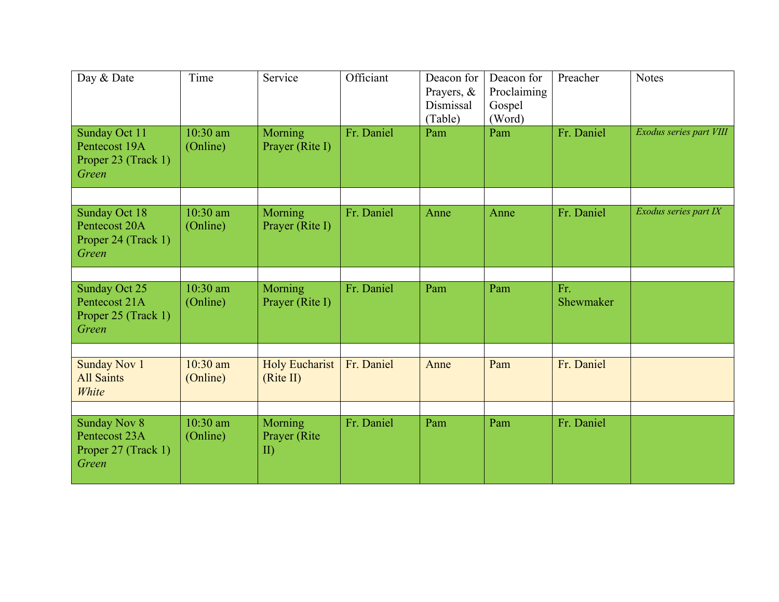| Day & Date                                                           | Time                   | Service                                  | Officiant  | Deacon for<br>Prayers, &<br>Dismissal<br>(Table) | Deacon for<br>Proclaiming<br>Gospel<br>(Word) | Preacher         | <b>Notes</b>            |
|----------------------------------------------------------------------|------------------------|------------------------------------------|------------|--------------------------------------------------|-----------------------------------------------|------------------|-------------------------|
| Sunday Oct 11<br>Pentecost 19A<br>Proper 23 (Track 1)<br>Green       | 10:30 am<br>(Online)   | Morning<br>Prayer (Rite I)               | Fr. Daniel | Pam                                              | Pam                                           | Fr. Daniel       | Exodus series part VIII |
| Sunday Oct 18<br>Pentecost 20A<br>Proper 24 (Track 1)<br>Green       | 10:30 am<br>(Online)   | Morning<br>Prayer (Rite I)               | Fr. Daniel | Anne                                             | Anne                                          | Fr. Daniel       | Exodus series part IX   |
| Sunday Oct 25<br>Pentecost 21A<br>Proper 25 (Track 1)<br>Green       | 10:30 am<br>(Online)   | Morning<br>Prayer (Rite I)               | Fr. Daniel | Pam                                              | Pam                                           | Fr.<br>Shewmaker |                         |
| <b>Sunday Nov 1</b><br><b>All Saints</b><br>White                    | $10:30$ am<br>(Online) | <b>Holy Eucharist</b><br>(Rite II)       | Fr. Daniel | Anne                                             | Pam                                           | Fr. Daniel       |                         |
| <b>Sunday Nov 8</b><br>Pentecost 23A<br>Proper 27 (Track 1)<br>Green | 10:30 am<br>(Online)   | Morning<br>Prayer (Rite)<br>$\mathbf{I}$ | Fr. Daniel | Pam                                              | Pam                                           | Fr. Daniel       |                         |